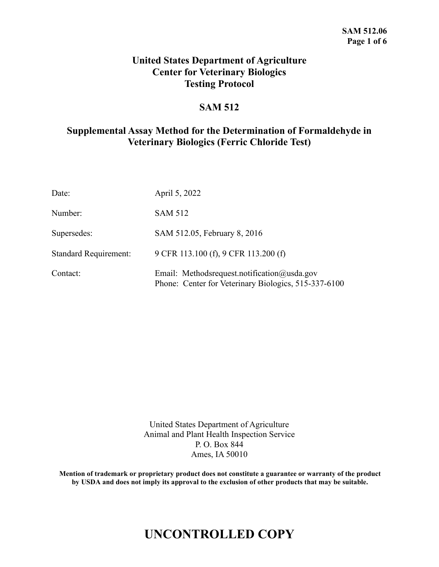## **United States Department of Agriculture Center for Veterinary Biologics Testing Protocol**

## **SAM 512**

## **Supplemental Assay Method for the Determination of Formaldehyde in Veterinary Biologics (Ferric Chloride Test)**

| Date:                        | April 5, 2022                                                                                       |
|------------------------------|-----------------------------------------------------------------------------------------------------|
| Number:                      | <b>SAM 512</b>                                                                                      |
| Supersedes:                  | SAM 512.05, February 8, 2016                                                                        |
| <b>Standard Requirement:</b> | 9 CFR 113.100 (f), 9 CFR 113.200 (f)                                                                |
| Contact:                     | Email: Methodsrequest.notification@usda.gov<br>Phone: Center for Veterinary Biologics, 515-337-6100 |

United States Department of Agriculture Animal and Plant Health Inspection Service P. O. Box 844 Ames, IA 50010

**Mention of trademark or proprietary product does not constitute a guarantee or warranty of the product by USDA and does not imply its approval to the exclusion of other products that may be suitable.**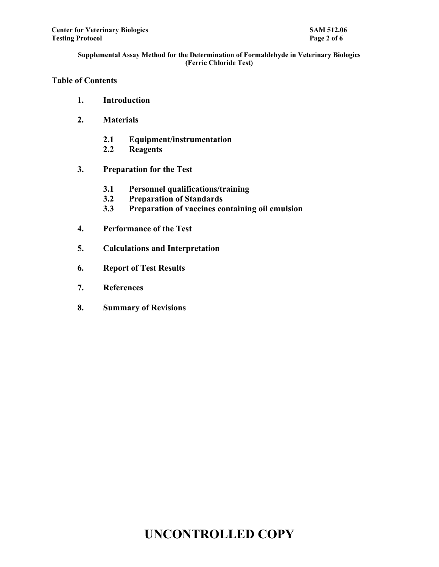## **Table of Contents**

- **1. Introduction**
- **2. Materials**
	- **2.1 Equipment/instrumentation**
	- **2.2 Reagents**
- **3. Preparation for the Test**
	- **3.1 Personnel qualifications/training**
	- **3.2 Preparation of Standards**
	- **3.3 Preparation of vaccines containing oil emulsion**
- **4. Performance of the Test**
- **5. Calculations and Interpretation**
- **6. Report of Test Results**
- **7. References**
- **8. Summary of Revisions**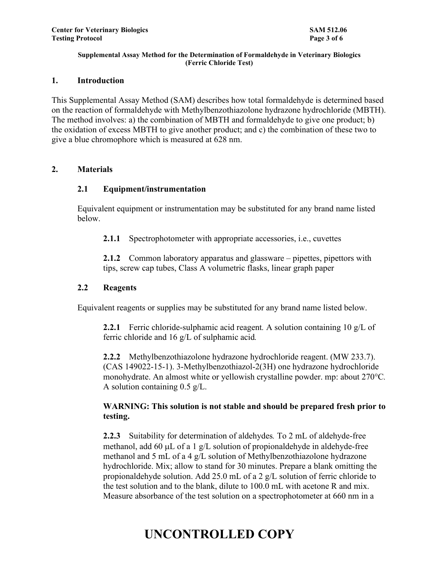### **1. Introduction**

This Supplemental Assay Method (SAM) describes how total formaldehyde is determined based on the reaction of formaldehyde with Methylbenzothiazolone hydrazone hydrochloride (MBTH). The method involves: a) the combination of MBTH and formaldehyde to give one product; b) the oxidation of excess MBTH to give another product; and c) the combination of these two to give a blue chromophore which is measured at 628 nm.

### **2. Materials**

## **2.1 Equipment/instrumentation**

Equivalent equipment or instrumentation may be substituted for any brand name listed below.

**2.1.1** Spectrophotometer with appropriate accessories, i.e., cuvettes

**2.1.2** Common laboratory apparatus and glassware – pipettes, pipettors with tips, screw cap tubes, Class A volumetric flasks, linear graph paper

### **2.2 Reagents**

Equivalent reagents or supplies may be substituted for any brand name listed below.

**2.2.1** Ferric chloride-sulphamic acid reagent. A solution containing 10 g/L of ferric chloride and 16 g/L of sulphamic acid*.*

**2.2.2** Methylbenzothiazolone hydrazone hydrochloride reagent. (MW 233.7). (CAS 149022-15-1). 3-Methylbenzothiazol-2(3H) one hydrazone hydrochloride monohydrate. An almost white or yellowish crystalline powder. mp: about 270°C*.* A solution containing 0.5 g/L.

## **WARNING: This solution is not stable and should be prepared fresh prior to testing.**

**2.2.3** Suitability for determination of aldehydes*.* To 2 mL of aldehyde-free methanol, add 60  $\mu$ L of a 1 g/L solution of propionaldehyde in aldehyde-free methanol and 5 mL of a 4 g/L solution of Methylbenzothiazolone hydrazone hydrochloride. Mix; allow to stand for 30 minutes. Prepare a blank omitting the propionaldehyde solution. Add 25.0 mL of a 2 g/L solution of ferric chloride to the test solution and to the blank, dilute to 100.0 mL with acetone R and mix. Measure absorbance of the test solution on a spectrophotometer at 660 nm in a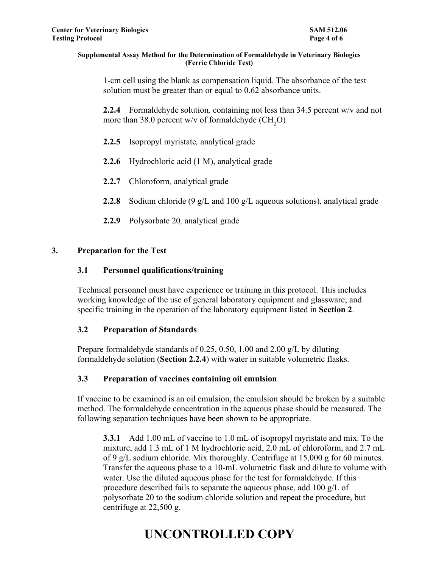1-cm cell using the blank as compensation liquid. The absorbance of the test solution must be greater than or equal to 0.62 absorbance units.

**2.2.4** Formaldehyde solution*,* containing not less than 34.5 percent w/v and not more than 38.0 percent w/v of formaldehyde  $(CH_2O)$ 

- **2.2.5** Isopropyl myristate*,* analytical grade
- **2.2.6** Hydrochloric acid (1 M), analytical grade
- **2.2.7** Chloroform*,* analytical grade
- **2.2.8** Sodium chloride (9 g/L and 100 g/L aqueous solutions), analytical grade
- **2.2.9** Polysorbate 20*,* analytical grade

## **3. Preparation for the Test**

## **3.1 Personnel qualifications/training**

Technical personnel must have experience or training in this protocol. This includes working knowledge of the use of general laboratory equipment and glassware; and specific training in the operation of the laboratory equipment listed in **Section 2**.

### **3.2 Preparation of Standards**

Prepare formaldehyde standards of 0.25, 0.50, 1.00 and 2.00 g/L by diluting formaldehyde solution (**Section 2.2.4**) with water in suitable volumetric flasks.

## **3.3 Preparation of vaccines containing oil emulsion**

If vaccine to be examined is an oil emulsion, the emulsion should be broken by a suitable method. The formaldehyde concentration in the aqueous phase should be measured. The following separation techniques have been shown to be appropriate.

**3.3.1** Add 1.00 mL of vaccine to 1.0 mL of isopropyl myristate and mix. To the mixture, add 1.3 mL of 1 M hydrochloric acid, 2.0 mL of chloroform, and 2.7 mL of 9 g/L sodium chloride*.* Mix thoroughly. Centrifuge at 15,000 g for 60 minutes. Transfer the aqueous phase to a 10-mL volumetric flask and dilute to volume with water. Use the diluted aqueous phase for the test for formaldehyde. If this procedure described fails to separate the aqueous phase, add 100 g/L of polysorbate 20 to the sodium chloride solution and repeat the procedure, but centrifuge at 22,500 g*.*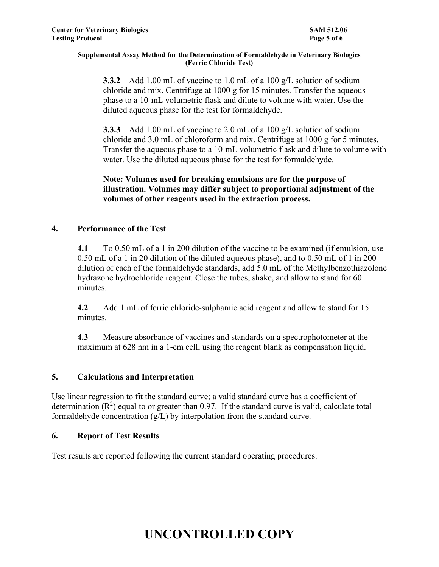**3.3.2** Add 1.00 mL of vaccine to 1.0 mL of a 100 g/L solution of sodium chloride and mix. Centrifuge at 1000 g for 15 minutes. Transfer the aqueous phase to a 10-mL volumetric flask and dilute to volume with water. Use the diluted aqueous phase for the test for formaldehyde.

**3.3.3** Add 1.00 mL of vaccine to 2.0 mL of a 100 g/L solution of sodium chloride and 3.0 mL of chloroform and mix. Centrifuge at 1000 g for 5 minutes. Transfer the aqueous phase to a 10-mL volumetric flask and dilute to volume with water. Use the diluted aqueous phase for the test for formaldehyde.

**Note: Volumes used for breaking emulsions are for the purpose of illustration. Volumes may differ subject to proportional adjustment of the volumes of other reagents used in the extraction process.**

## **4. Performance of the Test**

**4.1** To 0.50 mL of a 1 in 200 dilution of the vaccine to be examined (if emulsion, use 0.50 mL of a 1 in 20 dilution of the diluted aqueous phase), and to 0.50 mL of 1 in 200 dilution of each of the formaldehyde standards, add 5.0 mL of the Methylbenzothiazolone hydrazone hydrochloride reagent. Close the tubes, shake, and allow to stand for 60 minutes.

**4.2** Add 1 mL of ferric chloride-sulphamic acid reagent and allow to stand for 15 minutes.

**4.3** Measure absorbance of vaccines and standards on a spectrophotometer at the maximum at 628 nm in a 1-cm cell, using the reagent blank as compensation liquid.

## **5. Calculations and Interpretation**

Use linear regression to fit the standard curve; a valid standard curve has a coefficient of determination  $(R^2)$  equal to or greater than 0.97. If the standard curve is valid, calculate total formaldehyde concentration  $(g/L)$  by interpolation from the standard curve.

## **6. Report of Test Results**

Test results are reported following the current standard operating procedures.